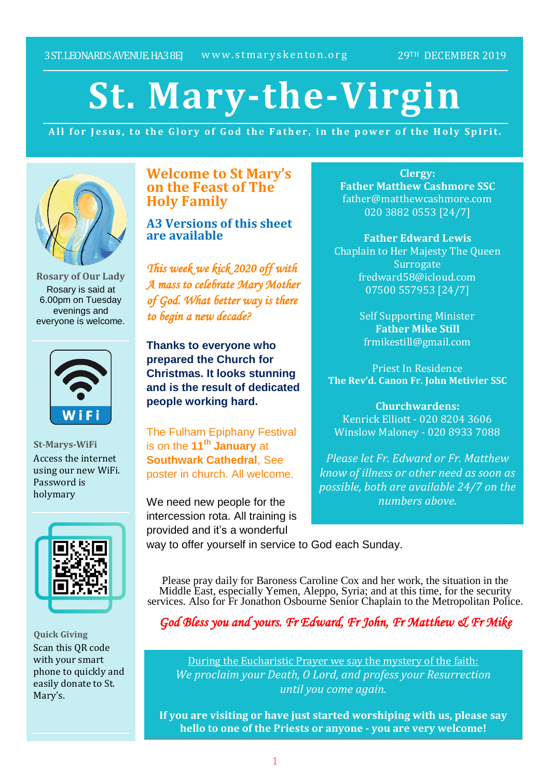# **St. Mary-the-Virgin**

All for Jesus, to the Glory of God the Father, in the power of the Holy Spirit.



**Rosary of Our Lady** Rosary is said at 6.00pm on Tuesday evenings and everyone is welcome.



**St-Marys-WiFi** Access the internet using our new WiFi. Password is holymary



**Quick Giving** Scan this QR code with your smart phone to quickly and easily donate to St. Mary's.

**Welcome to St Mary's on the Feast of The Holy Family**

**A3 Versions of this sheet are available**

*This week we kick 2020 off with A mass to celebrate Mary Mother of God. What better way is there to begin a new decade?* 

**Thanks to everyone who prepared the Church for Christmas. It looks stunning and is the result of dedicated people working hard.**

The Fulham Epiphany Festival is on the **11th January** at **Southwark Cathedral**, See poster in church. All welcome.

We need new people for the intercession rota. All training is provided and it's a wonderful

**Clergy: Father Matthew Cashmore SSC** father@matthewcashmore.com 020 3882 0553 [24/7]

**Father Edward Lewis** Chaplain to Her Majesty The Queen **Surrogate** fredward58@icloud.com 07500 557953 [24/7]

> Self Supporting Minister **Father Mike Still** frmikestill@gmail.com

Priest In Residence **The Rev'd. Canon Fr. John Metivier SSC**

**Churchwardens:** Kenrick Elliott - 020 8204 3606 Winslow Maloney - 020 8933 7088

*Please let Fr. Edward or Fr. Matthew know of illness or other need as soon as possible, both are available 24/7 on the numbers above.*

way to offer yourself in service to God each Sunday.

Please pray daily for Baroness Caroline Cox and her work, the situation in the Middle East, especially Yemen, Aleppo, Syria; and at this time, for the security services. Also for Fr Jonathon Osbourne Senior Chaplain to the Metropolitan Police.

*God Bless you and yours. Fr Edward, Fr John, Fr Matthew & Fr Mike*

During the Eucharistic Prayer we say the mystery of the faith: *We proclaim your Death, O Lord, and profess your Resurrection until you come again.*

**If you are visiting or have just started worshiping with us, please say hello to one of the Priests or anyone - you are very welcome!**